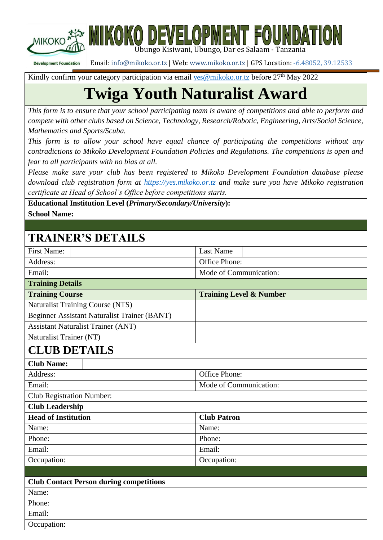

iikoko development foundati Ubungo Kisiwani, Ubungo, Dar es Salaam - Tanzania

Email: [info@mikoko.or.tz](mailto:info@mikoko.or.tz) | Web[: www.mikoko.or.tz](http://www.mikoko.or.tz/) | GPS Location: -6.48052, 39.12533 **Development Foundation** 

Kindly confirm your category participation via email yes [@mikoko.or.tz](mailto:yes@mikoko.or.tz) before 27<sup>th</sup> May 2022

# **Twiga Youth Naturalist Award**

*This form is to ensure that your school participating team is aware of competitions and able to perform and compete with other clubs based on Science, Technology, Research/Robotic, Engineering, Arts/Social Science, Mathematics and Sports/Scuba.*

*This form is to allow your school have equal chance of participating the competitions without any contradictions to Mikoko Development Foundation Policies and Regulations. The competitions is open and fear to all participants with no bias at all.*

*Please make sure your club has been registered to Mikoko Development Foundation database please download club registration form at [https://yes.mikoko.or.tz](https://yes.mikoko.or.tz/) and make sure you have Mikoko registration certificate at Head of School's Office before competitions starts.*

**Educational Institution Level (***Primary/Secondary/University***):**

**School Name:**

## **TRAINER'S DETAILS**

| <b>First Name:</b>                                  | <b>Last Name</b>                   |  |  |  |
|-----------------------------------------------------|------------------------------------|--|--|--|
| Address:                                            | Office Phone:                      |  |  |  |
| Email:                                              | Mode of Communication:             |  |  |  |
| <b>Training Details</b>                             |                                    |  |  |  |
| <b>Training Course</b>                              | <b>Training Level &amp; Number</b> |  |  |  |
| <b>Naturalist Training Course (NTS)</b>             |                                    |  |  |  |
| <b>Beginner Assistant Naturalist Trainer (BANT)</b> |                                    |  |  |  |
| <b>Assistant Naturalist Trainer (ANT)</b>           |                                    |  |  |  |
| Naturalist Trainer (NT)                             |                                    |  |  |  |
| <b>CLUB DETAILS</b>                                 |                                    |  |  |  |
| <b>Club Name:</b>                                   |                                    |  |  |  |
| Address:                                            | Office Phone:                      |  |  |  |
| Email:                                              | Mode of Communication:             |  |  |  |
| <b>Club Registration Number:</b>                    |                                    |  |  |  |
| <b>Club Leadership</b>                              |                                    |  |  |  |
| <b>Head of Institution</b>                          | <b>Club Patron</b>                 |  |  |  |
| Name:                                               | Name:                              |  |  |  |
| Phone:                                              | Phone:                             |  |  |  |
| Email:                                              | Email:                             |  |  |  |
| Occupation:                                         | Occupation:                        |  |  |  |
|                                                     |                                    |  |  |  |
| <b>Club Contact Person during competitions</b>      |                                    |  |  |  |
| Name:                                               |                                    |  |  |  |
| Phone:                                              |                                    |  |  |  |
| Email:                                              |                                    |  |  |  |
| Occupation:                                         |                                    |  |  |  |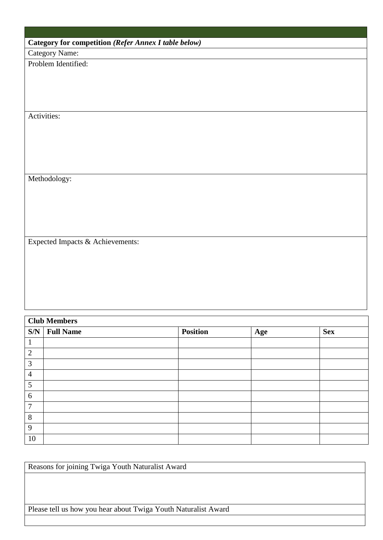|  | Category for competition (Refer Annex I table below) |
|--|------------------------------------------------------|
|--|------------------------------------------------------|

Category Name:

Problem Identified:

Activities:

Methodology:

Expected Impacts & Achievements:

| <b>Club Members</b> |                |                 |     |            |
|---------------------|----------------|-----------------|-----|------------|
|                     | $SN$ Full Name | <b>Position</b> | Age | <b>Sex</b> |
| $\mathbf 1$         |                |                 |     |            |
| $\overline{2}$      |                |                 |     |            |
| 3                   |                |                 |     |            |
| $\overline{4}$      |                |                 |     |            |
| 5                   |                |                 |     |            |
| 6                   |                |                 |     |            |
| $\overline{7}$      |                |                 |     |            |
| 8                   |                |                 |     |            |
| 9                   |                |                 |     |            |
| 10                  |                |                 |     |            |

| Reasons for joining Twiga Youth Naturalist Award               |
|----------------------------------------------------------------|
|                                                                |
|                                                                |
|                                                                |
| Please tell us how you hear about Twiga Youth Naturalist Award |
|                                                                |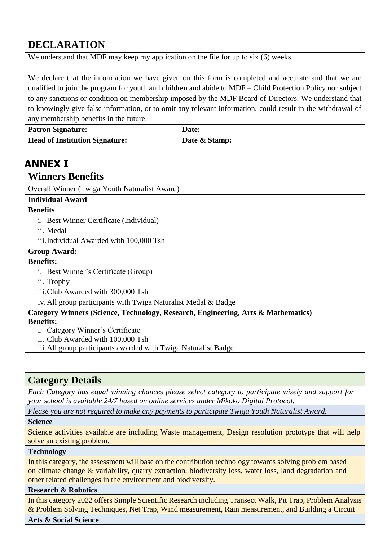### **DECLARATION**

We understand that MDF may keep my application on the file for up to six (6) weeks.

We declare that the information we have given on this form is completed and accurate and that we are qualified to join the program for youth and children and abide to MDF – Child Protection Policy nor subject to any sanctions or condition on membership imposed by the MDF Board of Directors. We understand that to knowingly give false information, or to omit any relevant information, could result in the withdrawal of any membership benefits in the future.

| <b>Patron Signature:</b>              | Date:         |
|---------------------------------------|---------------|
| <b>Head of Institution Signature:</b> | Date & Stamp: |

# **ANNEX I**

| <b>Winners Benefits</b>                                                           |
|-----------------------------------------------------------------------------------|
| Overall Winner (Twiga Youth Naturalist Award)                                     |
| <b>Individual Award</b>                                                           |
| <b>Benefits</b>                                                                   |
| <i>i.</i> Best Winner Certificate (Individual)                                    |
| ii. Medal                                                                         |
| iii. Individual Awarded with 100,000 Tsh                                          |
| <b>Group Award:</b>                                                               |
| <b>Benefits:</b>                                                                  |
| i. Best Winner's Certificate (Group)                                              |
| ii. Trophy                                                                        |
| iii. Club Awarded with 300,000 Tsh                                                |
| iv. All group participants with Twiga Naturalist Medal & Badge                    |
| Category Winners (Science, Technology, Research, Engineering, Arts & Mathematics) |
| <b>Benefits:</b>                                                                  |
| i. Category Winner's Certificate                                                  |
| ii. Club Awarded with 100,000 Tsh                                                 |
| iii. All group participants awarded with Twiga Naturalist Badge                   |

### **Category Details**

*Each Category has equal winning chances please select category to participate wisely and support for your school is available 24/7 based on online services under Mikoko Digital Protocol.*

*Please you are not required to make any payments to participate Twiga Youth Naturalist Award.*

#### **Science**

Science activities available are including Waste management, Design resolution prototype that will help solve an existing problem.

#### **Technology**

In this category, the assessment will base on the contribution technology towards solving problem based on climate change & variability, quarry extraction, biodiversity loss, water loss, land degradation and other related challenges in the environment and biodiversity.

#### **Research & Robotics**

In this category 2022 offers Simple Scientific Research including Transect Walk, Pit Trap, Problem Analysis & Problem Solving Techniques, Net Trap, Wind measurement, Rain measurement, and Building a Circuit

#### **Arts & Social Science**